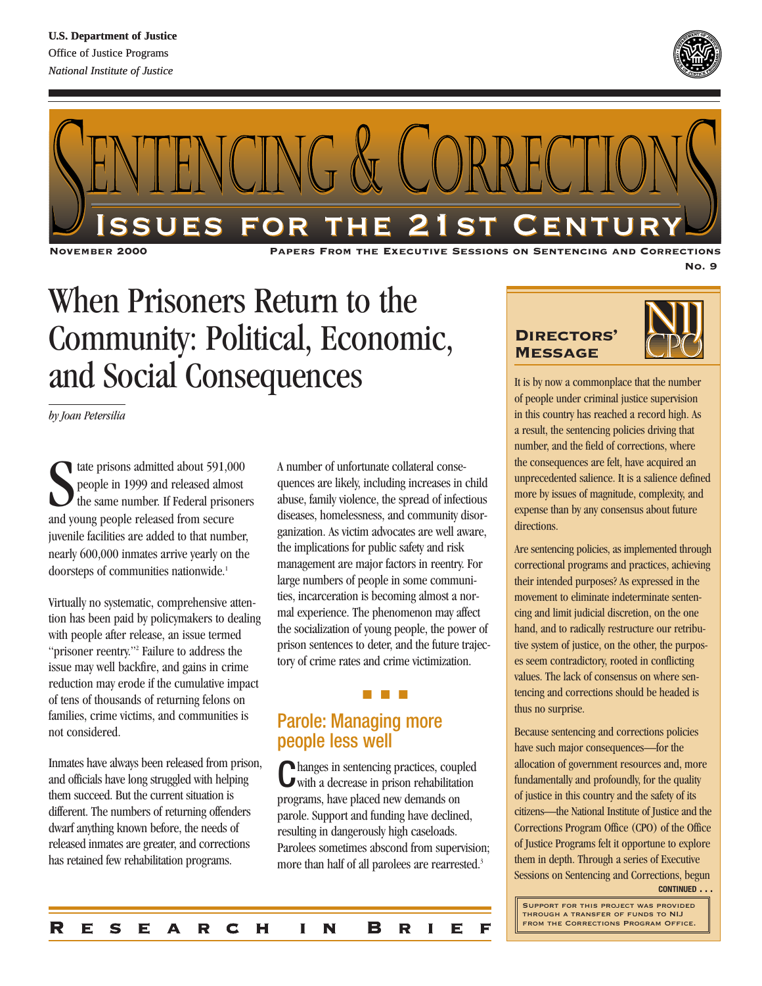

UES FO

November 2000 Papers From the Executive Sessions on Sentencing and Corrections

#### No. 9

# When Prisoners Return to the Community: Political, Economic, and Social Consequences

*by Joan Petersilia* 

tate prisons admitted about 591,0<br>
people in 1999 and released almo<br>
the same number. If Federal priso<br>
and young people released from secure tate prisons admitted about 591,000 people in 1999 and released almost the same number. If Federal prisoners juvenile facilities are added to that number, nearly 600,000 inmates arrive yearly on the doorsteps of communities nationwide.<sup>1</sup>

Virtually no systematic, comprehensive attention has been paid by policymakers to dealing with people after release, an issue termed "prisoner reentry."<sup>2</sup> Failure to address the issue may well backfire, and gains in crime reduction may erode if the cumulative impact of tens of thousands of returning felons on families, crime victims, and communities is not considered.

Inmates have always been released from prison, and officials have long struggled with helping them succeed. But the current situation is different. The numbers of returning offenders dwarf anything known before, the needs of released inmates are greater, and corrections has retained few rehabilitation programs.

A number of unfortunate collateral consequences are likely, including increases in child abuse, family violence, the spread of infectious diseases, homelessness, and community disorganization. As victim advocates are well aware, the implications for public safety and risk management are major factors in reentry. For large numbers of people in some communities, incarceration is becoming almost a normal experience. The phenomenon may affect the socialization of young people, the power of prison sentences to deter, and the future trajectory of crime rates and crime victimization.

# Parole: Managing more people less well

Changes in sentencing practices, coupled with a decrease in prison rehabilitation programs, have placed new demands on parole. Support and funding have declined, resulting in dangerously high caseloads. Parolees sometimes abscond from supervision; more than half of all parolees are rearrested.<sup>3</sup>

■ ■ ■





It is by now a commonplace that the number of people under criminal justice supervision in this country has reached a record high. As a result, the sentencing policies driving that number, and the field of corrections, where the consequences are felt, have acquired an unprecedented salience. It is a salience defined more by issues of magnitude, complexity, and expense than by any consensus about future directions.

Are sentencing policies, as implemented through correctional programs and practices, achieving their intended purposes? As expressed in the movement to eliminate indeterminate sentencing and limit judicial discretion, on the one hand, and to radically restructure our retributive system of justice, on the other, the purposes seem contradictory, rooted in conflicting values. The lack of consensus on where sentencing and corrections should be headed is thus no surprise.

Because sentencing and corrections policies have such major consequences—for the allocation of government resources and, more fundamentally and profoundly, for the quality of justice in this country and the safety of its citizens—the National Institute of Justice and the Corrections Program Office (CPO) of the Office of Justice Programs felt it opportune to explore them in depth. Through a series of Executive Sessions on Sentencing and Corrections, begun **CONTINUED ...**

Support for this project was provided through a transfer of funds to NIJfrom the Corrections Program Office.

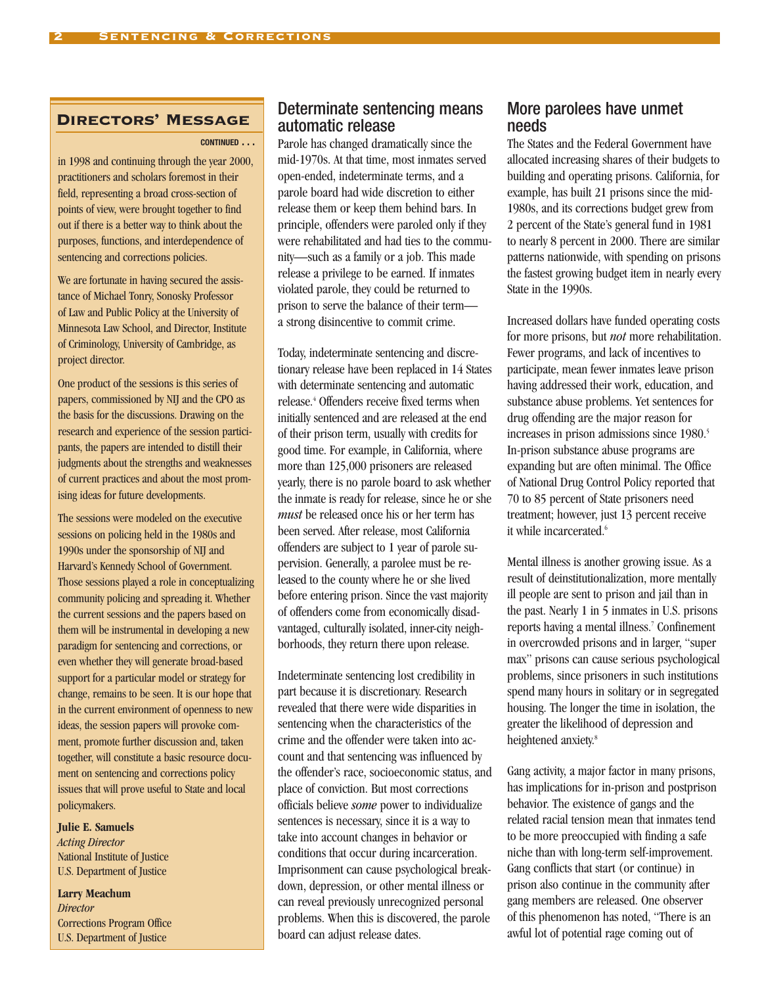#### Directors' Message

#### **CONTINUED ...**

in 1998 and continuing through the year 2000, practitioners and scholars foremost in their field, representing a broad cross-section of points of view, were brought together to find out if there is a better way to think about the purposes, functions, and interdependence of sentencing and corrections policies.

We are fortunate in having secured the assistance of Michael Tonry, Sonosky Professor of Law and Public Policy at the University of Minnesota Law School, and Director, Institute of Criminology, University of Cambridge, as project director.

One product of the sessions is this series of papers, commissioned by NIJ and the CPO as the basis for the discussions. Drawing on the research and experience of the session participants, the papers are intended to distill their judgments about the strengths and weaknesses of current practices and about the most promising ideas for future developments.

The sessions were modeled on the executive sessions on policing held in the 1980s and 1990s under the sponsorship of NIJ and Harvard's Kennedy School of Government. Those sessions played a role in conceptualizing community policing and spreading it. Whether the current sessions and the papers based on them will be instrumental in developing a new paradigm for sentencing and corrections, or even whether they will generate broad-based support for a particular model or strategy for change, remains to be seen. It is our hope that in the current environment of openness to new ideas, the session papers will provoke comment, promote further discussion and, taken together, will constitute a basic resource document on sentencing and corrections policy issues that will prove useful to State and local policymakers.

#### **Julie E. Samuels**

*Acting Director* National Institute of Justice U.S. Department of Justice

#### **Larry Meachum** *Director* Corrections Program Office U.S. Department of Justice

#### Determinate sentencing means automatic release

Parole has changed dramatically since the mid-1970s. At that time, most inmates served open-ended, indeterminate terms, and a parole board had wide discretion to either release them or keep them behind bars. In principle, offenders were paroled only if they were rehabilitated and had ties to the community—such as a family or a job. This made release a privilege to be earned. If inmates violated parole, they could be returned to prison to serve the balance of their term a strong disincentive to commit crime.

Today, indeterminate sentencing and discretionary release have been replaced in 14 States with determinate sentencing and automatic release.<sup>4</sup> Offenders receive fixed terms when initially sentenced and are released at the end of their prison term, usually with credits for good time. For example, in California, where more than 125,000 prisoners are released yearly, there is no parole board to ask whether the inmate is ready for release, since he or she *must* be released once his or her term has been served. After release, most California offenders are subject to 1 year of parole supervision. Generally, a parolee must be released to the county where he or she lived before entering prison. Since the vast majority of offenders come from economically disadvantaged, culturally isolated, inner-city neighborhoods, they return there upon release.

Indeterminate sentencing lost credibility in part because it is discretionary. Research revealed that there were wide disparities in sentencing when the characteristics of the crime and the offender were taken into account and that sentencing was influenced by the offender's race, socioeconomic status, and place of conviction. But most corrections officials believe *some* power to individualize sentences is necessary, since it is a way to take into account changes in behavior or conditions that occur during incarceration. Imprisonment can cause psychological breakdown, depression, or other mental illness or can reveal previously unrecognized personal problems. When this is discovered, the parole board can adjust release dates.

## More parolees have unmet needs

The States and the Federal Government have allocated increasing shares of their budgets to building and operating prisons. California, for example, has built 21 prisons since the mid-1980s, and its corrections budget grew from 2 percent of the State's general fund in 1981 to nearly 8 percent in 2000. There are similar patterns nationwide, with spending on prisons the fastest growing budget item in nearly every State in the 1990s.

Increased dollars have funded operating costs for more prisons, but *not* more rehabilitation. Fewer programs, and lack of incentives to participate, mean fewer inmates leave prison having addressed their work, education, and substance abuse problems. Yet sentences for drug offending are the major reason for increases in prison admissions since 1980.<sup>5</sup> In-prison substance abuse programs are expanding but are often minimal. The Office of National Drug Control Policy reported that 70 to 85 percent of State prisoners need treatment; however, just 13 percent receive it while incarcerated.<sup>6</sup>

Mental illness is another growing issue. As a result of deinstitutionalization, more mentally ill people are sent to prison and jail than in the past. Nearly 1 in 5 inmates in U.S. prisons reports having a mental illness.<sup>7</sup> Confinement in overcrowded prisons and in larger, "super max" prisons can cause serious psychological problems, since prisoners in such institutions spend many hours in solitary or in segregated housing. The longer the time in isolation, the greater the likelihood of depression and heightened anxiety.<sup>8</sup>

Gang activity, a major factor in many prisons, has implications for in-prison and postprison behavior. The existence of gangs and the related racial tension mean that inmates tend to be more preoccupied with finding a safe niche than with long-term self-improvement. Gang conflicts that start (or continue) in prison also continue in the community after gang members are released. One observer of this phenomenon has noted, "There is an awful lot of potential rage coming out of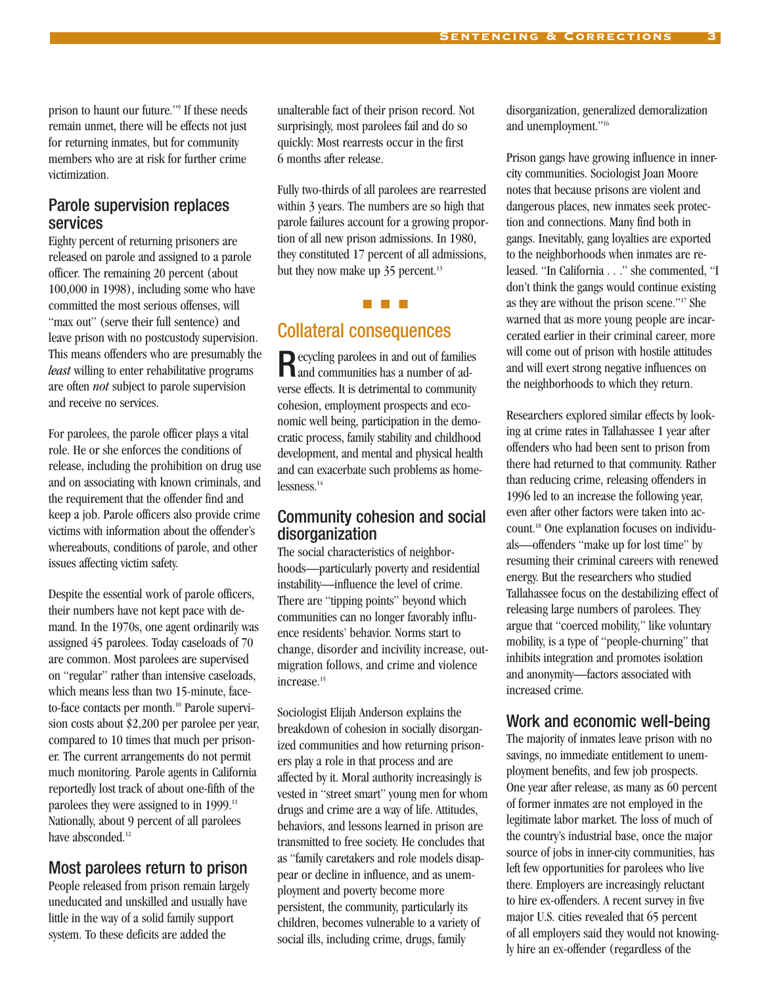prison to haunt our future."9 If these needs remain unmet, there will be effects not just for returning inmates, but for community members who are at risk for further crime victimization.

#### Parole supervision replaces services

Eighty percent of returning prisoners are released on parole and assigned to a parole officer. The remaining 20 percent (about 100,000 in 1998), including some who have committed the most serious offenses, will "max out" (serve their full sentence) and leave prison with no postcustody supervision. This means offenders who are presumably the *least* willing to enter rehabilitative programs are often *not* subject to parole supervision and receive no services.

For parolees, the parole officer plays a vital role. He or she enforces the conditions of release, including the prohibition on drug use and on associating with known criminals, and the requirement that the offender find and keep a job. Parole officers also provide crime victims with information about the offender's whereabouts, conditions of parole, and other issues affecting victim safety.

Despite the essential work of parole officers, their numbers have not kept pace with demand. In the 1970s, one agent ordinarily was assigned 45 parolees. Today caseloads of 70 are common. Most parolees are supervised on "regular" rather than intensive caseloads, which means less than two 15-minute, faceto-face contacts per month.<sup>10</sup> Parole supervision costs about \$2,200 per parolee per year, compared to 10 times that much per prisoner. The current arrangements do not permit much monitoring. Parole agents in California reportedly lost track of about one-fifth of the parolees they were assigned to in 1999.<sup>11</sup> Nationally, about 9 percent of all parolees have absconded.<sup>12</sup>

#### Most parolees return to prison

People released from prison remain largely uneducated and unskilled and usually have little in the way of a solid family support system. To these deficits are added the

unalterable fact of their prison record. Not surprisingly, most parolees fail and do so quickly: Most rearrests occur in the first 6 months after release.

Fully two-thirds of all parolees are rearrested within 3 years. The numbers are so high that parole failures account for a growing proportion of all new prison admissions. In 1980, they constituted 17 percent of all admissions, but they now make up 35 percent.<sup>13</sup>

■ ■ ■

# Collateral consequences

Recycling parolees in and out of families and communities has a number of adverse effects. It is detrimental to community cohesion, employment prospects and economic well being, participation in the democratic process, family stability and childhood development, and mental and physical health and can exacerbate such problems as homelessness.<sup>14</sup>

## Community cohesion and social disorganization

The social characteristics of neighborhoods—particularly poverty and residential instability—influence the level of crime. There are "tipping points" beyond which communities can no longer favorably influence residents' behavior. Norms start to change, disorder and incivility increase, outmigration follows, and crime and violence increase.<sup>15</sup>

Sociologist Elijah Anderson explains the breakdown of cohesion in socially disorganized communities and how returning prisoners play a role in that process and are affected by it. Moral authority increasingly is vested in "street smart" young men for whom drugs and crime are a way of life. Attitudes, behaviors, and lessons learned in prison are transmitted to free society. He concludes that as "family caretakers and role models disappear or decline in influence, and as unemployment and poverty become more persistent, the community, particularly its children, becomes vulnerable to a variety of social ills, including crime, drugs, family

disorganization, generalized demoralization and unemployment."16

Prison gangs have growing influence in innercity communities. Sociologist Joan Moore notes that because prisons are violent and dangerous places, new inmates seek protection and connections. Many find both in gangs. Inevitably, gang loyalties are exported to the neighborhoods when inmates are released. "In California . . ." she commented, "I don't think the gangs would continue existing as they are without the prison scene."17 She warned that as more young people are incarcerated earlier in their criminal career, more will come out of prison with hostile attitudes and will exert strong negative influences on the neighborhoods to which they return.

Researchers explored similar effects by looking at crime rates in Tallahassee 1 year after offenders who had been sent to prison from there had returned to that community. Rather than reducing crime, releasing offenders in 1996 led to an increase the following year, even after other factors were taken into account.18 One explanation focuses on individuals—offenders "make up for lost time" by resuming their criminal careers with renewed energy. But the researchers who studied Tallahassee focus on the destabilizing effect of releasing large numbers of parolees. They argue that "coerced mobility," like voluntary mobility, is a type of "people-churning" that inhibits integration and promotes isolation and anonymity—factors associated with increased crime.

## Work and economic well-being

The majority of inmates leave prison with no savings, no immediate entitlement to unemployment benefits, and few job prospects. One year after release, as many as 60 percent of former inmates are not employed in the legitimate labor market. The loss of much of the country's industrial base, once the major source of jobs in inner-city communities, has left few opportunities for parolees who live there. Employers are increasingly reluctant to hire ex-offenders. A recent survey in five major U.S. cities revealed that 65 percent of all employers said they would not knowingly hire an ex-offender (regardless of the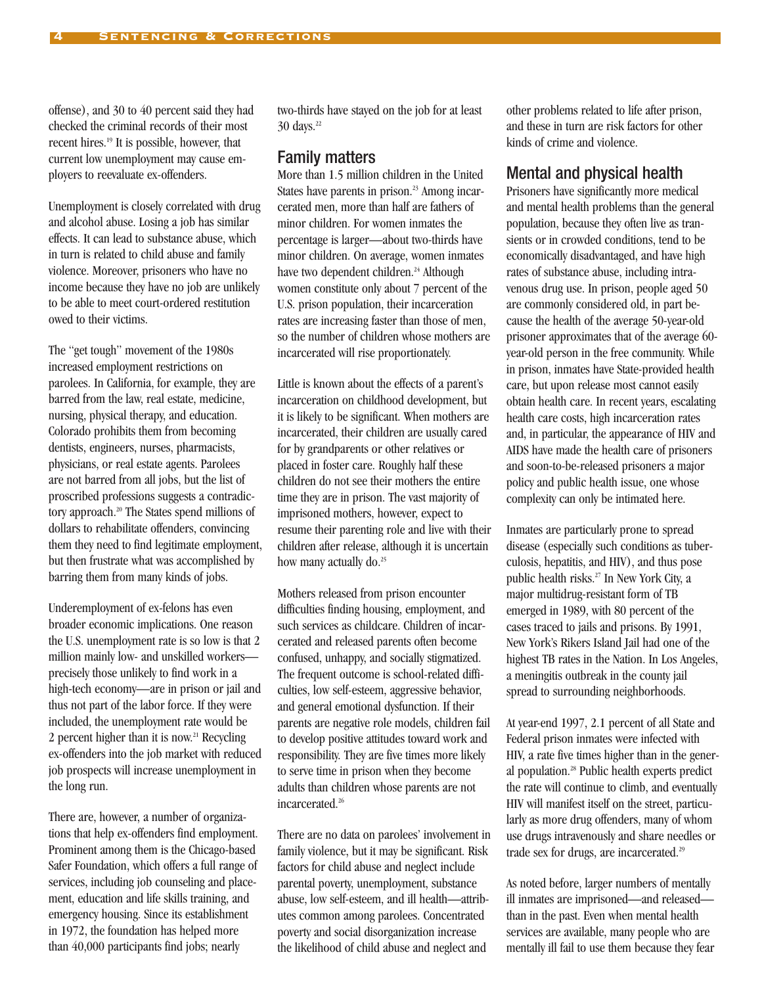offense), and 30 to 40 percent said they had checked the criminal records of their most recent hires.19 It is possible, however, that current low unemployment may cause employers to reevaluate ex-offenders.

Unemployment is closely correlated with drug and alcohol abuse. Losing a job has similar effects. It can lead to substance abuse, which in turn is related to child abuse and family violence. Moreover, prisoners who have no income because they have no job are unlikely to be able to meet court-ordered restitution owed to their victims.

The "get tough" movement of the 1980s increased employment restrictions on parolees. In California, for example, they are barred from the law, real estate, medicine, nursing, physical therapy, and education. Colorado prohibits them from becoming dentists, engineers, nurses, pharmacists, physicians, or real estate agents. Parolees are not barred from all jobs, but the list of proscribed professions suggests a contradictory approach.20 The States spend millions of dollars to rehabilitate offenders, convincing them they need to find legitimate employment, but then frustrate what was accomplished by barring them from many kinds of jobs.

Underemployment of ex-felons has even broader economic implications. One reason the U.S. unemployment rate is so low is that 2 million mainly low- and unskilled workers precisely those unlikely to find work in a high-tech economy—are in prison or jail and thus not part of the labor force. If they were included, the unemployment rate would be 2 percent higher than it is now.<sup>21</sup> Recycling ex-offenders into the job market with reduced job prospects will increase unemployment in the long run.

There are, however, a number of organizations that help ex-offenders find employment. Prominent among them is the Chicago-based Safer Foundation, which offers a full range of services, including job counseling and placement, education and life skills training, and emergency housing. Since its establishment in 1972, the foundation has helped more than 40,000 participants find jobs; nearly

two-thirds have stayed on the job for at least 30 days.<sup>22</sup>

#### Family matters

More than 1.5 million children in the United States have parents in prison.<sup>23</sup> Among incarcerated men, more than half are fathers of minor children. For women inmates the percentage is larger—about two-thirds have minor children. On average, women inmates have two dependent children.<sup>24</sup> Although women constitute only about 7 percent of the U.S. prison population, their incarceration rates are increasing faster than those of men, so the number of children whose mothers are incarcerated will rise proportionately.

Little is known about the effects of a parent's incarceration on childhood development, but it is likely to be significant. When mothers are incarcerated, their children are usually cared for by grandparents or other relatives or placed in foster care. Roughly half these children do not see their mothers the entire time they are in prison. The vast majority of imprisoned mothers, however, expect to resume their parenting role and live with their children after release, although it is uncertain how many actually do.<sup>25</sup>

Mothers released from prison encounter difficulties finding housing, employment, and such services as childcare. Children of incarcerated and released parents often become confused, unhappy, and socially stigmatized. The frequent outcome is school-related difficulties, low self-esteem, aggressive behavior, and general emotional dysfunction. If their parents are negative role models, children fail to develop positive attitudes toward work and responsibility. They are five times more likely to serve time in prison when they become adults than children whose parents are not incarcerated.<sup>26</sup>

There are no data on parolees' involvement in family violence, but it may be significant. Risk factors for child abuse and neglect include parental poverty, unemployment, substance abuse, low self-esteem, and ill health—attributes common among parolees. Concentrated poverty and social disorganization increase the likelihood of child abuse and neglect and

other problems related to life after prison, and these in turn are risk factors for other kinds of crime and violence.

#### Mental and physical health

Prisoners have significantly more medical and mental health problems than the general population, because they often live as transients or in crowded conditions, tend to be economically disadvantaged, and have high rates of substance abuse, including intravenous drug use. In prison, people aged 50 are commonly considered old, in part because the health of the average 50-year-old prisoner approximates that of the average 60 year-old person in the free community. While in prison, inmates have State-provided health care, but upon release most cannot easily obtain health care. In recent years, escalating health care costs, high incarceration rates and, in particular, the appearance of HIV and AIDS have made the health care of prisoners and soon-to-be-released prisoners a major policy and public health issue, one whose complexity can only be intimated here.

Inmates are particularly prone to spread disease (especially such conditions as tuberculosis, hepatitis, and HIV), and thus pose public health risks.27 In New York City, a major multidrug-resistant form of TB emerged in 1989, with 80 percent of the cases traced to jails and prisons. By 1991, New York's Rikers Island Jail had one of the highest TB rates in the Nation. In Los Angeles, a meningitis outbreak in the county jail spread to surrounding neighborhoods.

At year-end 1997, 2.1 percent of all State and Federal prison inmates were infected with HIV, a rate five times higher than in the general population.28 Public health experts predict the rate will continue to climb, and eventually HIV will manifest itself on the street, particularly as more drug offenders, many of whom use drugs intravenously and share needles or trade sex for drugs, are incarcerated.<sup>29</sup>

As noted before, larger numbers of mentally ill inmates are imprisoned—and released than in the past. Even when mental health services are available, many people who are mentally ill fail to use them because they fear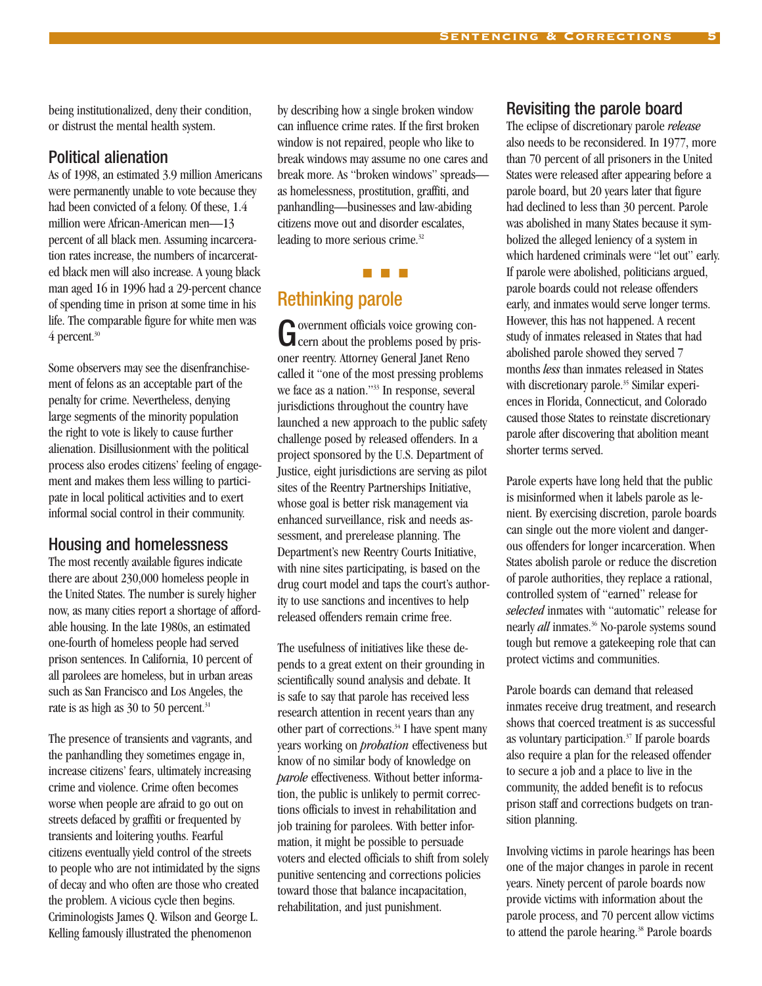being institutionalized, deny their condition, or distrust the mental health system.

## Political alienation

As of 1998, an estimated 3.9 million Americans were permanently unable to vote because they had been convicted of a felony. Of these, 1.4 million were African-American men—13 percent of all black men. Assuming incarceration rates increase, the numbers of incarcerated black men will also increase. A young black man aged 16 in 1996 had a 29-percent chance of spending time in prison at some time in his life. The comparable figure for white men was 4 percent.<sup>30</sup>

Some observers may see the disenfranchisement of felons as an acceptable part of the penalty for crime. Nevertheless, denying large segments of the minority population the right to vote is likely to cause further alienation. Disillusionment with the political process also erodes citizens' feeling of engagement and makes them less willing to participate in local political activities and to exert informal social control in their community.

#### Housing and homelessness

The most recently available figures indicate there are about 230,000 homeless people in the United States. The number is surely higher now, as many cities report a shortage of affordable housing. In the late 1980s, an estimated one-fourth of homeless people had served prison sentences. In California, 10 percent of all parolees are homeless, but in urban areas such as San Francisco and Los Angeles, the rate is as high as 30 to 50 percent.<sup>31</sup>

The presence of transients and vagrants, and the panhandling they sometimes engage in, increase citizens' fears, ultimately increasing crime and violence. Crime often becomes worse when people are afraid to go out on streets defaced by graffiti or frequented by transients and loitering youths. Fearful citizens eventually yield control of the streets to people who are not intimidated by the signs of decay and who often are those who created the problem. A vicious cycle then begins. Criminologists James Q. Wilson and George L. Kelling famously illustrated the phenomenon

by describing how a single broken window can influence crime rates. If the first broken window is not repaired, people who like to break windows may assume no one cares and break more. As "broken windows" spreads as homelessness, prostitution, graffiti, and panhandling—businesses and law-abiding citizens move out and disorder escalates, leading to more serious crime.<sup>32</sup>

■ ■ ■

# Rethinking parole

Government officials voice growing con-<br>G cern about the problems posed by prisoner reentry. Attorney General Janet Reno called it "one of the most pressing problems we face as a nation."33 In response, several jurisdictions throughout the country have launched a new approach to the public safety challenge posed by released offenders. In a project sponsored by the U.S. Department of Justice, eight jurisdictions are serving as pilot sites of the Reentry Partnerships Initiative, whose goal is better risk management via enhanced surveillance, risk and needs assessment, and prerelease planning. The Department's new Reentry Courts Initiative, with nine sites participating, is based on the drug court model and taps the court's authority to use sanctions and incentives to help released offenders remain crime free.

The usefulness of initiatives like these depends to a great extent on their grounding in scientifically sound analysis and debate. It is safe to say that parole has received less research attention in recent years than any other part of corrections. $34$  I have spent many years working on *probation* effectiveness but know of no similar body of knowledge on *parole* effectiveness. Without better information, the public is unlikely to permit corrections officials to invest in rehabilitation and job training for parolees. With better information, it might be possible to persuade voters and elected officials to shift from solely punitive sentencing and corrections policies toward those that balance incapacitation, rehabilitation, and just punishment.

## Revisiting the parole board

The eclipse of discretionary parole *release* also needs to be reconsidered. In 1977, more than 70 percent of all prisoners in the United States were released after appearing before a parole board, but 20 years later that figure had declined to less than 30 percent. Parole was abolished in many States because it symbolized the alleged leniency of a system in which hardened criminals were "let out" early. If parole were abolished, politicians argued, parole boards could not release offenders early, and inmates would serve longer terms. However, this has not happened. A recent study of inmates released in States that had abolished parole showed they served 7 months *less* than inmates released in States with discretionary parole.<sup>35</sup> Similar experiences in Florida, Connecticut, and Colorado caused those States to reinstate discretionary parole after discovering that abolition meant shorter terms served.

Parole experts have long held that the public is misinformed when it labels parole as lenient. By exercising discretion, parole boards can single out the more violent and dangerous offenders for longer incarceration. When States abolish parole or reduce the discretion of parole authorities, they replace a rational, controlled system of "earned" release for *selected* inmates with "automatic" release for nearly *all* inmates.<sup>36</sup> No-parole systems sound tough but remove a gatekeeping role that can protect victims and communities.

Parole boards can demand that released inmates receive drug treatment, and research shows that coerced treatment is as successful as voluntary participation.37 If parole boards also require a plan for the released offender to secure a job and a place to live in the community, the added benefit is to refocus prison staff and corrections budgets on transition planning.

Involving victims in parole hearings has been one of the major changes in parole in recent years. Ninety percent of parole boards now provide victims with information about the parole process, and 70 percent allow victims to attend the parole hearing.<sup>38</sup> Parole boards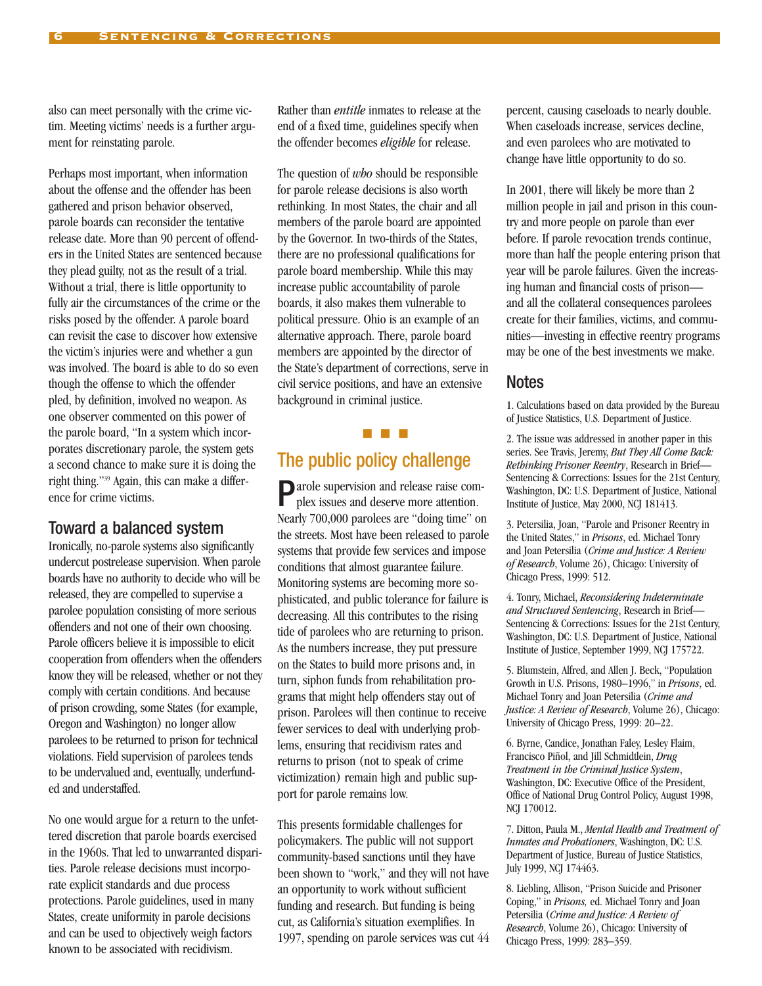also can meet personally with the crime victim. Meeting victims' needs is a further argument for reinstating parole.

Perhaps most important, when information about the offense and the offender has been gathered and prison behavior observed, parole boards can reconsider the tentative release date. More than 90 percent of offenders in the United States are sentenced because they plead guilty, not as the result of a trial. Without a trial, there is little opportunity to fully air the circumstances of the crime or the risks posed by the offender. A parole board can revisit the case to discover how extensive the victim's injuries were and whether a gun was involved. The board is able to do so even though the offense to which the offender pled, by definition, involved no weapon. As one observer commented on this power of the parole board, "In a system which incorporates discretionary parole, the system gets a second chance to make sure it is doing the right thing."39 Again, this can make a difference for crime victims.

#### Toward a balanced system

Ironically, no-parole systems also significantly undercut postrelease supervision. When parole boards have no authority to decide who will be released, they are compelled to supervise a parolee population consisting of more serious offenders and not one of their own choosing. Parole officers believe it is impossible to elicit cooperation from offenders when the offenders know they will be released, whether or not they comply with certain conditions. And because of prison crowding, some States (for example, Oregon and Washington) no longer allow parolees to be returned to prison for technical violations. Field supervision of parolees tends to be undervalued and, eventually, underfunded and understaffed.

No one would argue for a return to the unfettered discretion that parole boards exercised in the 1960s. That led to unwarranted disparities. Parole release decisions must incorporate explicit standards and due process protections. Parole guidelines, used in many States, create uniformity in parole decisions and can be used to objectively weigh factors known to be associated with recidivism.

Rather than *entitle* inmates to release at the end of a fixed time, guidelines specify when the offender becomes *eligible* for release.

The question of *who* should be responsible for parole release decisions is also worth rethinking. In most States, the chair and all members of the parole board are appointed by the Governor. In two-thirds of the States, there are no professional qualifications for parole board membership. While this may increase public accountability of parole boards, it also makes them vulnerable to political pressure. Ohio is an example of an alternative approach. There, parole board members are appointed by the director of the State's department of corrections, serve in civil service positions, and have an extensive background in criminal justice.

# The public policy challenge

■ ■ ■

Parole supervision and release raise complex issues and deserve more attention. Nearly 700,000 parolees are "doing time" on the streets. Most have been released to parole systems that provide few services and impose conditions that almost guarantee failure. Monitoring systems are becoming more sophisticated, and public tolerance for failure is decreasing. All this contributes to the rising tide of parolees who are returning to prison. As the numbers increase, they put pressure on the States to build more prisons and, in turn, siphon funds from rehabilitation programs that might help offenders stay out of prison. Parolees will then continue to receive fewer services to deal with underlying problems, ensuring that recidivism rates and returns to prison (not to speak of crime victimization) remain high and public support for parole remains low.

This presents formidable challenges for policymakers. The public will not support community-based sanctions until they have been shown to "work," and they will not have an opportunity to work without sufficient funding and research. But funding is being cut, as California's situation exemplifies. In 1997, spending on parole services was cut 44

percent, causing caseloads to nearly double. When caseloads increase, services decline, and even parolees who are motivated to change have little opportunity to do so.

In 2001, there will likely be more than 2 million people in jail and prison in this country and more people on parole than ever before. If parole revocation trends continue, more than half the people entering prison that year will be parole failures. Given the increasing human and financial costs of prison and all the collateral consequences parolees create for their families, victims, and communities—investing in effective reentry programs may be one of the best investments we make.

#### **Notes**

1. Calculations based on data provided by the Bureau of Justice Statistics, U.S. Department of Justice.

2. The issue was addressed in another paper in this series. See Travis, Jeremy, *But They All Come Back: Rethinking Prisoner Reentry*, Research in Brief— Sentencing & Corrections: Issues for the 21st Century, Washington, DC: U.S. Department of Justice, National Institute of Justice, May 2000, NCJ 181413.

3. Petersilia, Joan, "Parole and Prisoner Reentry in the United States," in *Prisons*, ed. Michael Tonry and Joan Petersilia (*Crime and Justice: A Review of Research*, Volume 26), Chicago: University of Chicago Press, 1999: 512.

4. Tonry, Michael, *Reconsidering Indeterminate and Structured Sentencing*, Research in Brief— Sentencing & Corrections: Issues for the 21st Century, Washington, DC: U.S. Department of Justice, National Institute of Justice, September 1999, NCJ 175722.

5. Blumstein, Alfred, and Allen J. Beck, "Population Growth in U.S. Prisons, 1980–1996," in *Prisons*, ed. Michael Tonry and Joan Petersilia (*Crime and Justice: A Review of Research*, Volume 26), Chicago: University of Chicago Press, 1999: 20–22.

6. Byrne, Candice, Jonathan Faley, Lesley Flaim, Francisco Piñol, and Jill Schmidtlein, *Drug Treatment in the Criminal Justice System*, Washington, DC: Executive Office of the President, Office of National Drug Control Policy, August 1998, NCJ 170012.

7. Ditton, Paula M., *Mental Health and Treatment of Inmates and Probationers*, Washington, DC: U.S. Department of Justice, Bureau of Justice Statistics, July 1999, NCJ 174463.

8. Liebling, Allison, "Prison Suicide and Prisoner Coping," in *Prisons,* ed. Michael Tonry and Joan Petersilia (*Crime and Justice: A Review of Research*, Volume 26), Chicago: University of Chicago Press, 1999: 283–359.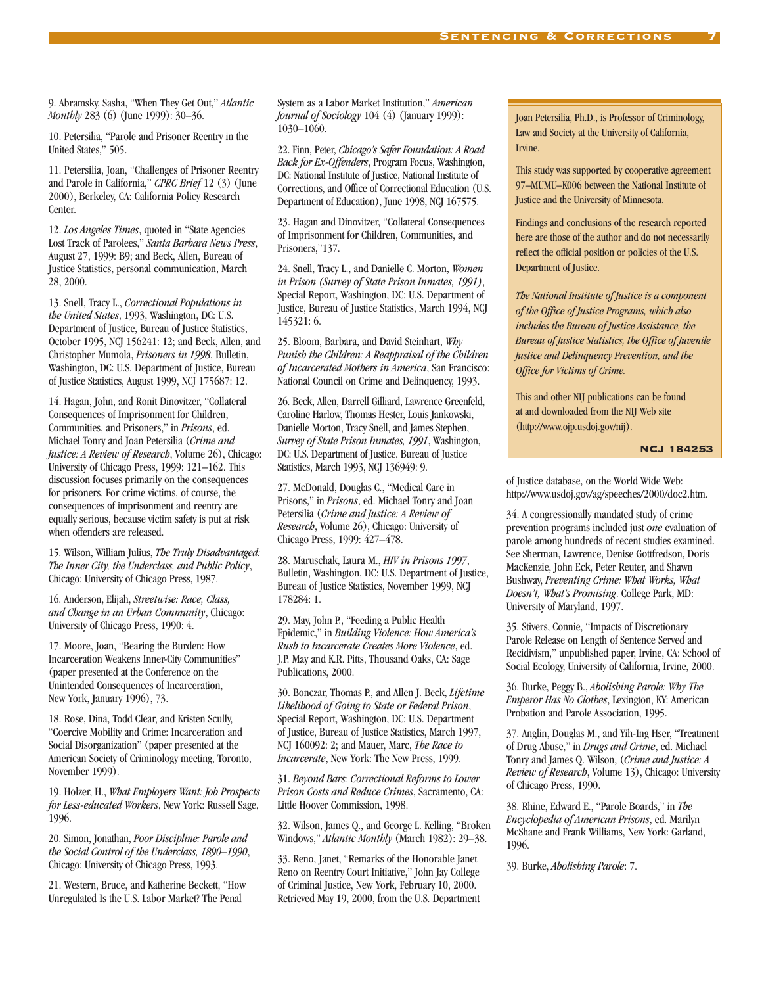9. Abramsky, Sasha, "When They Get Out," *Atlantic Monthly* 283 (6) (June 1999): 30–36.

10. Petersilia, "Parole and Prisoner Reentry in the United States," 505.

11. Petersilia, Joan, "Challenges of Prisoner Reentry and Parole in California," *CPRC Brief* 12 (3) (June 2000), Berkeley, CA: California Policy Research Center.

12. *Los Angeles Times*, quoted in "State Agencies Lost Track of Parolees," *Santa Barbara News Press*, August 27, 1999: B9; and Beck, Allen, Bureau of Justice Statistics, personal communication, March 28, 2000.

13. Snell, Tracy L., *Correctional Populations in the United States*, 1993, Washington, DC: U.S. Department of Justice, Bureau of Justice Statistics, October 1995, NCJ 156241: 12; and Beck, Allen, and Christopher Mumola, *Prisoners in 1998*, Bulletin, Washington, DC: U.S. Department of Justice, Bureau of Justice Statistics, August 1999, NCJ 175687: 12.

14. Hagan, John, and Ronit Dinovitzer, "Collateral Consequences of Imprisonment for Children, Communities, and Prisoners," in *Prisons*, ed. Michael Tonry and Joan Petersilia (*Crime and Justice: A Review of Research*, Volume 26), Chicago: University of Chicago Press, 1999: 121–162. This discussion focuses primarily on the consequences for prisoners. For crime victims, of course, the consequences of imprisonment and reentry are equally serious, because victim safety is put at risk when offenders are released.

15. Wilson, William Julius, *The Truly Disadvantaged: The Inner City, the Underclass, and Public Policy*, Chicago: University of Chicago Press, 1987.

16. Anderson, Elijah, *Streetwise: Race, Class, and Change in an Urban Community*, Chicago: University of Chicago Press, 1990: 4.

17. Moore, Joan, "Bearing the Burden: How Incarceration Weakens Inner-City Communities" (paper presented at the Conference on the Unintended Consequences of Incarceration, New York, January 1996), 73.

18. Rose, Dina, Todd Clear, and Kristen Scully, "Coercive Mobility and Crime: Incarceration and Social Disorganization" (paper presented at the American Society of Criminology meeting, Toronto, November 1999).

19. Holzer, H., *What Employers Want: Job Prospects for Less-educated Workers*, New York: Russell Sage, 1996.

20. Simon, Jonathan, *Poor Discipline: Parole and the Social Control of the Underclass, 1890–1990*, Chicago: University of Chicago Press, 1993.

21. Western, Bruce, and Katherine Beckett, "How Unregulated Is the U.S. Labor Market? The Penal

System as a Labor Market Institution," *American Journal of Sociology* 104 (4) (January 1999): 1030–1060.

22. Finn, Peter, *Chicago's Safer Foundation: A Road Back for Ex-Offenders*, Program Focus, Washington, DC: National Institute of Justice, National Institute of Corrections, and Office of Correctional Education (U.S. Department of Education), June 1998, NCJ 167575.

23. Hagan and Dinovitzer, "Collateral Consequences of Imprisonment for Children, Communities, and Prisoners,"137.

24. Snell, Tracy L., and Danielle C. Morton, *Women in Prison (Survey of State Prison Inmates, 1991)*, Special Report, Washington, DC: U.S. Department of Justice, Bureau of Justice Statistics, March 1994, NCJ 145321: 6.

25. Bloom, Barbara, and David Steinhart, *Why Punish the Children: A Reappraisal of the Children of Incarcerated Mothers in America*, San Francisco: National Council on Crime and Delinquency, 1993.

26. Beck, Allen, Darrell Gilliard, Lawrence Greenfeld, Caroline Harlow, Thomas Hester, Louis Jankowski, Danielle Morton, Tracy Snell, and James Stephen, *Survey of State Prison Inmates, 1991*, Washington, DC: U.S. Department of Justice, Bureau of Justice Statistics, March 1993, NCJ 136949: 9.

27. McDonald, Douglas C., "Medical Care in Prisons," in *Prisons*, ed. Michael Tonry and Joan Petersilia (*Crime and Justice: A Review of Research*, Volume 26), Chicago: University of Chicago Press, 1999: 427–478.

28. Maruschak, Laura M., *HIV in Prisons 1997*, Bulletin, Washington, DC: U.S. Department of Justice, Bureau of Justice Statistics, November 1999, NCJ 178284: 1.

29. May, John P., "Feeding a Public Health Epidemic," in *Building Violence: How America's Rush to Incarcerate Creates More Violence*, ed. J.P. May and K.R. Pitts, Thousand Oaks, CA: Sage Publications, 2000.

30. Bonczar, Thomas P., and Allen J. Beck, *Lifetime Likelihood of Going to State or Federal Prison*, Special Report, Washington, DC: U.S. Department of Justice, Bureau of Justice Statistics, March 1997, NCJ 160092: 2; and Mauer, Marc, *The Race to Incarcerate*, New York: The New Press, 1999.

31. *Beyond Bars: Correctional Reforms to Lower Prison Costs and Reduce Crimes*, Sacramento, CA: Little Hoover Commission, 1998.

32. Wilson, James Q., and George L. Kelling, "Broken Windows," *Atlantic Monthly* (March 1982): 29–38.

33. Reno, Janet, "Remarks of the Honorable Janet Reno on Reentry Court Initiative," John Jay College of Criminal Justice, New York, February 10, 2000. Retrieved May 19, 2000, from the U.S. Department Joan Petersilia, Ph.D., is Professor of Criminology, Law and Society at the University of California, Irvine.

This study was supported by cooperative agreement 97–MUMU–K006 between the National Institute of Justice and the University of Minnesota.

Findings and conclusions of the research reported here are those of the author and do not necessarily reflect the official position or policies of the U.S. Department of Justice.

*The National Institute of Justice is a component of the Office of Justice Programs, which also includes the Bureau of Justice Assistance, the Bureau of Justice Statistics, the Office of Juvenile Justice and Delinquency Prevention, and the Office for Victims of Crime.*

This and other NIJ publications can be found at and downloaded from the NIJ Web site (http://www.ojp.usdoj.gov/nij).

#### NCJ 184253

of Justice database, on the World Wide Web: http://www.usdoj.gov/ag/speeches/2000/doc2.htm.

34. A congressionally mandated study of crime prevention programs included just *one* evaluation of parole among hundreds of recent studies examined. See Sherman, Lawrence, Denise Gottfredson, Doris MacKenzie, John Eck, Peter Reuter, and Shawn Bushway, *Preventing Crime: What Works, What Doesn't, What's Promising*. College Park, MD: University of Maryland, 1997.

35. Stivers, Connie, "Impacts of Discretionary Parole Release on Length of Sentence Served and Recidivism," unpublished paper, Irvine, CA: School of Social Ecology, University of California, Irvine, 2000.

36. Burke, Peggy B., *Abolishing Parole: Why The Emperor Has No Clothes*, Lexington, KY: American Probation and Parole Association, 1995.

37. Anglin, Douglas M., and Yih-Ing Hser, "Treatment of Drug Abuse," in *Drugs and Crime*, ed. Michael Tonry and James Q. Wilson, (*Crime and Justice: A Review of Research*, Volume 13), Chicago: University of Chicago Press, 1990.

38. Rhine, Edward E., "Parole Boards," in *The Encyclopedia of American Prisons*, ed. Marilyn McShane and Frank Williams, New York: Garland, 1996.

39. Burke, *Abolishing Parole*: 7.